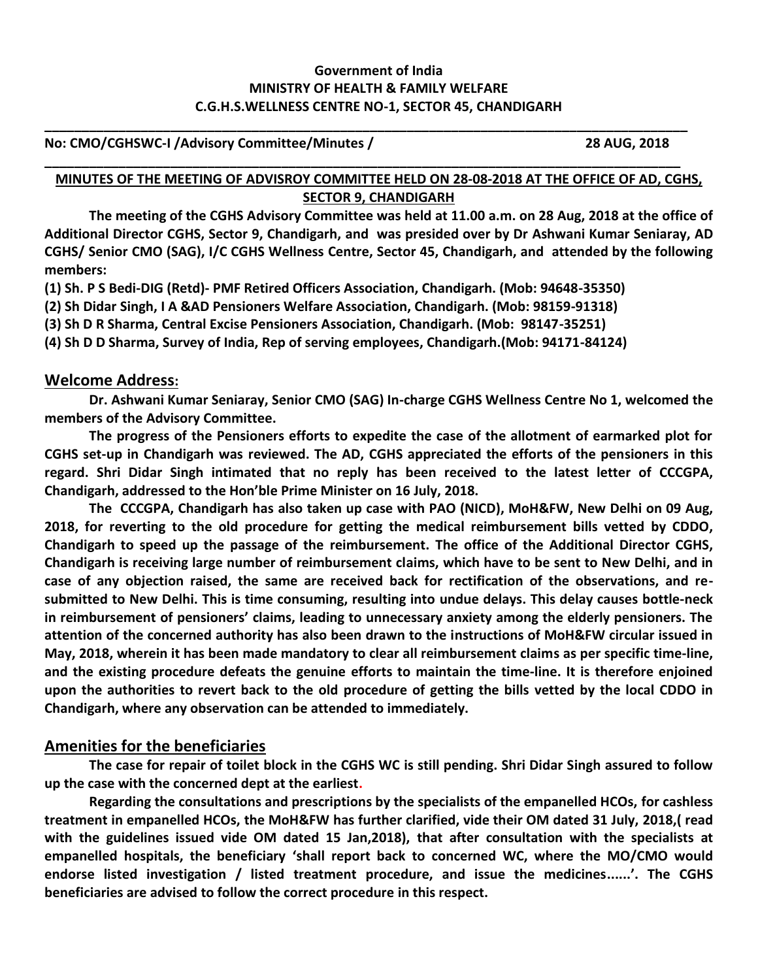## **Government of India MINISTRY OF HEALTH & FAMILY WELFARE C.G.H.S.WELLNESS CENTRE NO-1, SECTOR 45, CHANDIGARH**

**\_\_\_\_\_\_\_\_\_\_\_\_\_\_\_\_\_\_\_\_\_\_\_\_\_\_\_\_\_\_\_\_\_\_\_\_\_\_\_\_\_\_\_\_\_\_\_\_\_\_\_\_\_\_\_\_\_\_\_\_\_\_\_\_\_\_\_\_\_\_\_\_\_\_\_\_\_\_\_\_\_\_\_\_\_\_\_**

**\_\_\_\_\_\_\_\_\_\_\_\_\_\_\_\_\_\_\_\_\_\_\_\_\_\_\_\_\_\_\_\_\_\_\_\_\_\_\_\_\_\_\_\_\_\_\_\_\_\_\_\_\_\_\_\_\_\_\_\_\_\_\_\_\_\_\_\_\_\_\_\_\_\_\_\_\_\_\_\_\_\_\_\_\_\_**

#### **No: CMO/CGHSWC-I /Advisory Committee/Minutes / 28 AUG, 2018**

#### **MINUTES OF THE MEETING OF ADVISROY COMMITTEE HELD ON 28-08-2018 AT THE OFFICE OF AD, CGHS, SECTOR 9, CHANDIGARH**

**The meeting of the CGHS Advisory Committee was held at 11.00 a.m. on 28 Aug, 2018 at the office of Additional Director CGHS, Sector 9, Chandigarh, and was presided over by Dr Ashwani Kumar Seniaray, AD CGHS/ Senior CMO (SAG), I/C CGHS Wellness Centre, Sector 45, Chandigarh, and attended by the following members:**

**(1) Sh. P S Bedi-DIG (Retd)- PMF Retired Officers Association, Chandigarh. (Mob: 94648-35350)**

**(2) Sh Didar Singh, I A &AD Pensioners Welfare Association, Chandigarh. (Mob: 98159-91318)**

**(3) Sh D R Sharma, Central Excise Pensioners Association, Chandigarh. (Mob: 98147-35251)**

**(4) Sh D D Sharma, Survey of India, Rep of serving employees, Chandigarh.(Mob: 94171-84124)**

#### **Welcome Address:**

**Dr. Ashwani Kumar Seniaray, Senior CMO (SAG) In-charge CGHS Wellness Centre No 1, welcomed the members of the Advisory Committee.** 

**The progress of the Pensioners efforts to expedite the case of the allotment of earmarked plot for CGHS set-up in Chandigarh was reviewed. The AD, CGHS appreciated the efforts of the pensioners in this regard. Shri Didar Singh intimated that no reply has been received to the latest letter of CCCGPA, Chandigarh, addressed to the Hon'ble Prime Minister on 16 July, 2018.** 

**The CCCGPA, Chandigarh has also taken up case with PAO (NICD), MoH&FW, New Delhi on 09 Aug, 2018, for reverting to the old procedure for getting the medical reimbursement bills vetted by CDDO, Chandigarh to speed up the passage of the reimbursement. The office of the Additional Director CGHS, Chandigarh is receiving large number of reimbursement claims, which have to be sent to New Delhi, and in case of any objection raised, the same are received back for rectification of the observations, and resubmitted to New Delhi. This is time consuming, resulting into undue delays. This delay causes bottle-neck in reimbursement of pensioners' claims, leading to unnecessary anxiety among the elderly pensioners. The attention of the concerned authority has also been drawn to the instructions of MoH&FW circular issued in May, 2018, wherein it has been made mandatory to clear all reimbursement claims as per specific time-line, and the existing procedure defeats the genuine efforts to maintain the time-line. It is therefore enjoined upon the authorities to revert back to the old procedure of getting the bills vetted by the local CDDO in Chandigarh, where any observation can be attended to immediately.**

## **Amenities for the beneficiaries**

**The case for repair of toilet block in the CGHS WC is still pending. Shri Didar Singh assured to follow up the case with the concerned dept at the earliest.**

**Regarding the consultations and prescriptions by the specialists of the empanelled HCOs, for cashless treatment in empanelled HCOs, the MoH&FW has further clarified, vide their OM dated 31 July, 2018,( read with the guidelines issued vide OM dated 15 Jan,2018), that after consultation with the specialists at empanelled hospitals, the beneficiary 'shall report back to concerned WC, where the MO/CMO would endorse listed investigation / listed treatment procedure, and issue the medicines......'. The CGHS beneficiaries are advised to follow the correct procedure in this respect.**